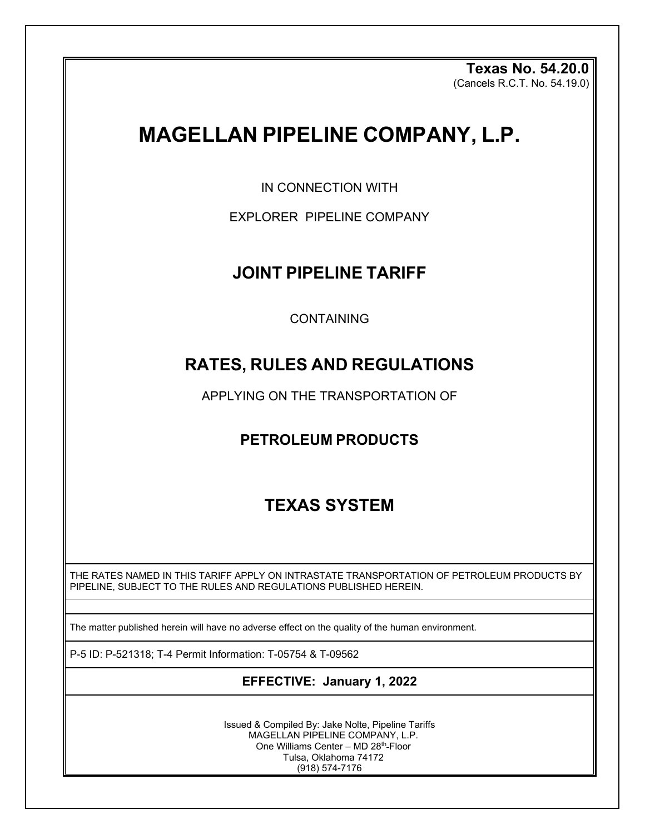**Texas No. 54.20.0**  (Cancels R.C.T. No. 54.19.0)

# **MAGELLAN PIPELINE COMPANY, L.P.**

IN CONNECTION WITH

EXPLORER PIPELINE COMPANY

## **JOINT PIPELINE TARIFF**

CONTAINING

## **RATES, RULES AND REGULATIONS**

APPLYING ON THE TRANSPORTATION OF

## **PETROLEUM PRODUCTS**

## **TEXAS SYSTEM**

THE RATES NAMED IN THIS TARIFF APPLY ON INTRASTATE TRANSPORTATION OF PETROLEUM PRODUCTS BY PIPELINE, SUBJECT TO THE RULES AND REGULATIONS PUBLISHED HEREIN.

The matter published herein will have no adverse effect on the quality of the human environment.

P-5 ID: P-521318; T-4 Permit Information: T-05754 & T-09562

## **EFFECTIVE: January 1, 2022**

Issued & Compiled By: Jake Nolte, Pipeline Tariffs MAGELLAN PIPELINE COMPANY, L.P. One Williams Center - MD 28<sup>th</sup>-Floor Tulsa, Oklahoma 74172 (918) 574-7176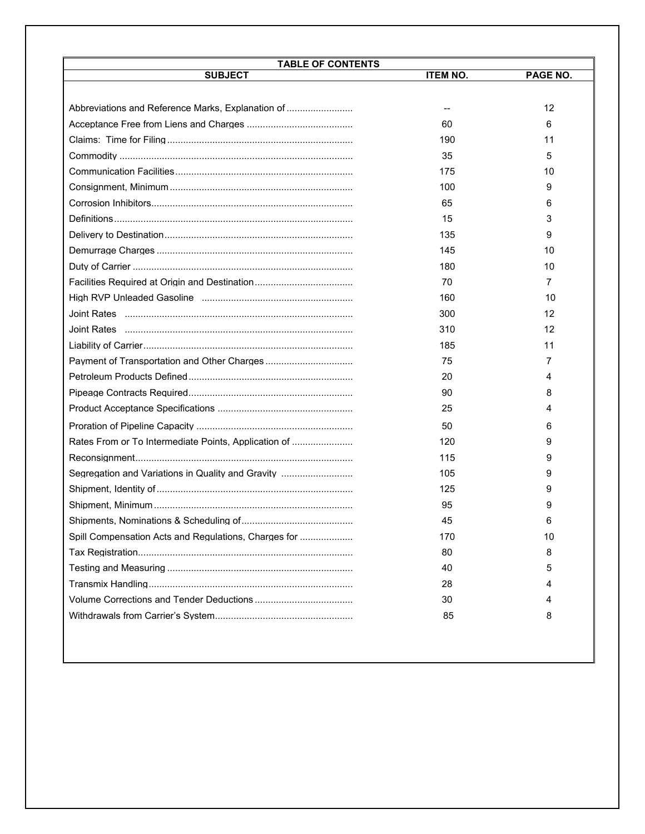| <b>TABLE OF CONTENTS</b><br><b>SUBJECT</b>           | <b>ITEM NO.</b> | PAGE NO. |
|------------------------------------------------------|-----------------|----------|
|                                                      |                 |          |
| Abbreviations and Reference Marks, Explanation of    |                 | 12       |
|                                                      | 60              | 6        |
|                                                      | 190             | 11       |
|                                                      | 35              | 5        |
|                                                      | 175             | 10       |
|                                                      | 100             | 9        |
|                                                      | 65              | 6        |
|                                                      | 15              | 3        |
|                                                      | 135             | 9        |
|                                                      | 145             | 10       |
|                                                      | 180             | 10       |
|                                                      | 70              | 7        |
|                                                      | 160             | 10       |
|                                                      | 300             | 12       |
| <u>Joint Rates …………………………………………………………………………</u>      | 310             | 12       |
|                                                      | 185             | 11       |
|                                                      | 75              | 7        |
|                                                      | 20              | 4        |
|                                                      | 90              | 8        |
|                                                      | 25              | 4        |
|                                                      | 50              | 6        |
| Rates From or To Intermediate Points. Application of | 120             | 9        |
|                                                      | 115             | 9        |
| Segregation and Variations in Quality and Gravity    | 105             | 9        |
|                                                      | 125             | 9        |
|                                                      | 95              | 9        |
|                                                      | 45              |          |
| Spill Compensation Acts and Regulations, Charges for | 170             | 10       |
|                                                      | 80              | 8        |
|                                                      | 40              | 5        |
|                                                      | 28              | 4        |
|                                                      | 30              | 4        |
|                                                      | 85              | 8        |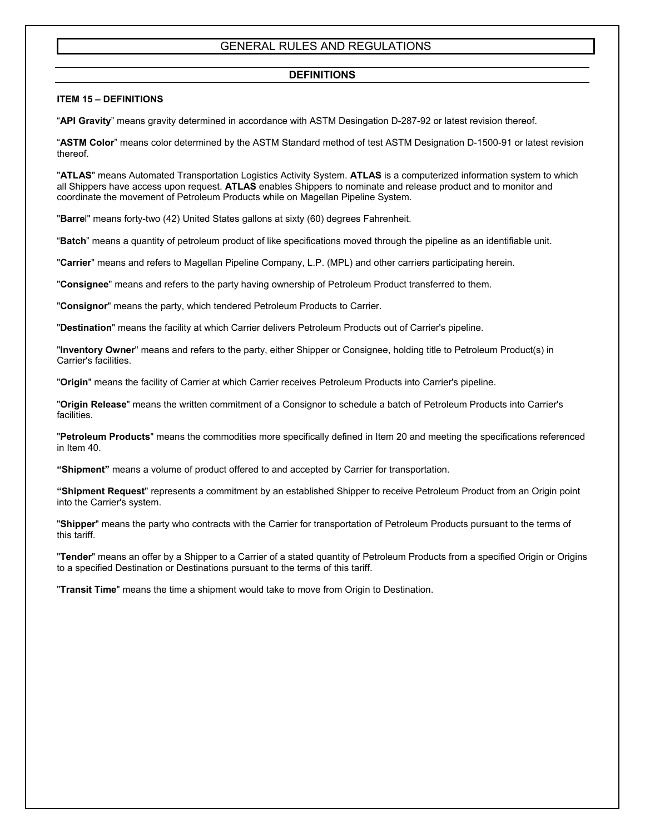## **DEFINITIONS**

## **ITEM 15 – DEFINITIONS**

"**API Gravity**" means gravity determined in accordance with ASTM Desingation D-287-92 or latest revision thereof.

"**ASTM Color**" means color determined by the ASTM Standard method of test ASTM Designation D-1500-91 or latest revision thereof.

"**ATLAS**" means Automated Transportation Logistics Activity System. **ATLAS** is a computerized information system to which all Shippers have access upon request. **ATLAS** enables Shippers to nominate and release product and to monitor and coordinate the movement of Petroleum Products while on Magellan Pipeline System.

"**Barre**l" means forty-two (42) United States gallons at sixty (60) degrees Fahrenheit.

"**Batch**" means a quantity of petroleum product of like specifications moved through the pipeline as an identifiable unit.

"**Carrier**" means and refers to Magellan Pipeline Company, L.P. (MPL) and other carriers participating herein.

"**Consignee**" means and refers to the party having ownership of Petroleum Product transferred to them.

"**Consignor**" means the party, which tendered Petroleum Products to Carrier.

"**Destination**" means the facility at which Carrier delivers Petroleum Products out of Carrier's pipeline.

"**Inventory Owner**" means and refers to the party, either Shipper or Consignee, holding title to Petroleum Product(s) in Carrier's facilities.

"**Origin**" means the facility of Carrier at which Carrier receives Petroleum Products into Carrier's pipeline.

"**Origin Release**" means the written commitment of a Consignor to schedule a batch of Petroleum Products into Carrier's facilities.

"**Petroleum Products**" means the commodities more specifically defined in Item 20 and meeting the specifications referenced in Item 40.

**"Shipment"** means a volume of product offered to and accepted by Carrier for transportation.

**"Shipment Request**" represents a commitment by an established Shipper to receive Petroleum Product from an Origin point into the Carrier's system.

"**Shipper**" means the party who contracts with the Carrier for transportation of Petroleum Products pursuant to the terms of this tariff.

"**Tender**" means an offer by a Shipper to a Carrier of a stated quantity of Petroleum Products from a specified Origin or Origins to a specified Destination or Destinations pursuant to the terms of this tariff.

"**Transit Time**" means the time a shipment would take to move from Origin to Destination.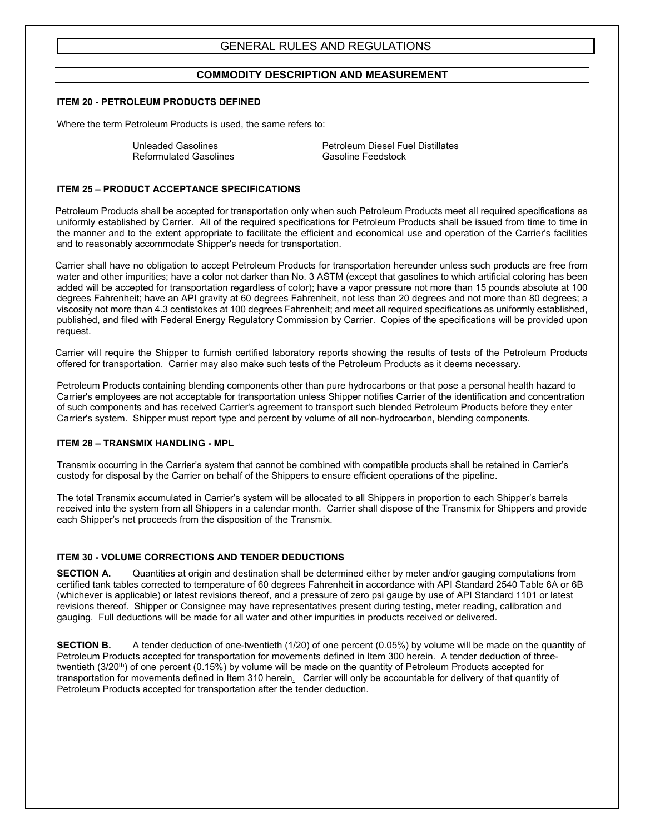## **COMMODITY DESCRIPTION AND MEASUREMENT**

#### **ITEM 20 - PETROLEUM PRODUCTS DEFINED**

Where the term Petroleum Products is used, the same refers to:

Reformulated Gasolines

Unleaded Gasolines<br>
Reformulated Gasolines<br>
Reformulated Gasolines<br>
Gasoline Feedstock

#### **ITEM 25 – PRODUCT ACCEPTANCE SPECIFICATIONS**

Petroleum Products shall be accepted for transportation only when such Petroleum Products meet all required specifications as uniformly established by Carrier. All of the required specifications for Petroleum Products shall be issued from time to time in the manner and to the extent appropriate to facilitate the efficient and economical use and operation of the Carrier's facilities and to reasonably accommodate Shipper's needs for transportation.

Carrier shall have no obligation to accept Petroleum Products for transportation hereunder unless such products are free from water and other impurities; have a color not darker than No. 3 ASTM (except that gasolines to which artificial coloring has been added will be accepted for transportation regardless of color); have a vapor pressure not more than 15 pounds absolute at 100 degrees Fahrenheit; have an API gravity at 60 degrees Fahrenheit, not less than 20 degrees and not more than 80 degrees; a viscosity not more than 4.3 centistokes at 100 degrees Fahrenheit; and meet all required specifications as uniformly established, published, and filed with Federal Energy Regulatory Commission by Carrier. Copies of the specifications will be provided upon request.

Carrier will require the Shipper to furnish certified laboratory reports showing the results of tests of the Petroleum Products offered for transportation. Carrier may also make such tests of the Petroleum Products as it deems necessary.

Petroleum Products containing blending components other than pure hydrocarbons or that pose a personal health hazard to Carrier's employees are not acceptable for transportation unless Shipper notifies Carrier of the identification and concentration of such components and has received Carrier's agreement to transport such blended Petroleum Products before they enter Carrier's system. Shipper must report type and percent by volume of all non-hydrocarbon, blending components.

#### **ITEM 28 – TRANSMIX HANDLING - MPL**

Transmix occurring in the Carrier's system that cannot be combined with compatible products shall be retained in Carrier's custody for disposal by the Carrier on behalf of the Shippers to ensure efficient operations of the pipeline.

The total Transmix accumulated in Carrier's system will be allocated to all Shippers in proportion to each Shipper's barrels received into the system from all Shippers in a calendar month. Carrier shall dispose of the Transmix for Shippers and provide each Shipper's net proceeds from the disposition of the Transmix.

## **ITEM 30 - VOLUME CORRECTIONS AND TENDER DEDUCTIONS**

**SECTION A.** Quantities at origin and destination shall be determined either by meter and/or gauging computations from certified tank tables corrected to temperature of 60 degrees Fahrenheit in accordance with API Standard 2540 Table 6A or 6B (whichever is applicable) or latest revisions thereof, and a pressure of zero psi gauge by use of API Standard 1101 or latest revisions thereof. Shipper or Consignee may have representatives present during testing, meter reading, calibration and gauging. Full deductions will be made for all water and other impurities in products received or delivered.

**SECTION B.** A tender deduction of one-twentieth (1/20) of one percent (0.05%) by volume will be made on the quantity of Petroleum Products accepted for transportation for movements defined in Item 300 herein. A tender deduction of threetwentieth (3/20<sup>th</sup>) of one percent (0.15%) by volume will be made on the quantity of Petroleum Products accepted for transportation for movements defined in Item 310 herein. Carrier will only be accountable for delivery of that quantity of Petroleum Products accepted for transportation after the tender deduction.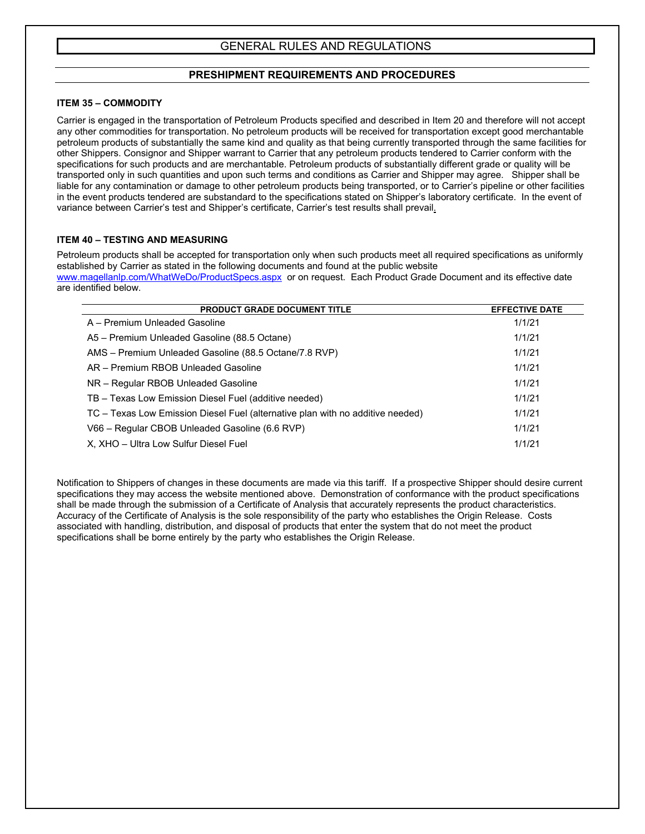## **PRESHIPMENT REQUIREMENTS AND PROCEDURES**

## **ITEM 35 – COMMODITY**

Carrier is engaged in the transportation of Petroleum Products specified and described in Item 20 and therefore will not accept any other commodities for transportation. No petroleum products will be received for transportation except good merchantable petroleum products of substantially the same kind and quality as that being currently transported through the same facilities for other Shippers. Consignor and Shipper warrant to Carrier that any petroleum products tendered to Carrier conform with the specifications for such products and are merchantable. Petroleum products of substantially different grade or quality will be transported only in such quantities and upon such terms and conditions as Carrier and Shipper may agree. Shipper shall be liable for any contamination or damage to other petroleum products being transported, or to Carrier's pipeline or other facilities in the event products tendered are substandard to the specifications stated on Shipper's laboratory certificate. In the event of variance between Carrier's test and Shipper's certificate, Carrier's test results shall prevail.

## **ITEM 40 – TESTING AND MEASURING**

Petroleum products shall be accepted for transportation only when such products meet all required specifications as uniformly established by Carrier as stated in the following documents and found at the public website

www.magellanlp.com/WhatWeDo/ProductSpecs.aspx or on request. Each Product Grade Document and its effective date are identified below.

| <b>PRODUCT GRADE DOCUMENT TITLE</b>                                            | <b>EFFECTIVE DATE</b> |
|--------------------------------------------------------------------------------|-----------------------|
| A - Premium Unleaded Gasoline                                                  | 1/1/21                |
| A5 - Premium Unleaded Gasoline (88.5 Octane)                                   | 1/1/21                |
| AMS - Premium Unleaded Gasoline (88.5 Octane/7.8 RVP)                          | 1/1/21                |
| AR - Premium RBOB Unleaded Gasoline                                            | 1/1/21                |
| NR - Regular RBOB Unleaded Gasoline                                            | 1/1/21                |
| TB - Texas Low Emission Diesel Fuel (additive needed)                          | 1/1/21                |
| TC - Texas Low Emission Diesel Fuel (alternative plan with no additive needed) | 1/1/21                |
| V66 - Regular CBOB Unleaded Gasoline (6.6 RVP)                                 | 1/1/21                |
| X, XHO - Ultra Low Sulfur Diesel Fuel                                          | 1/1/21                |

Notification to Shippers of changes in these documents are made via this tariff. If a prospective Shipper should desire current specifications they may access the website mentioned above. Demonstration of conformance with the product specifications shall be made through the submission of a Certificate of Analysis that accurately represents the product characteristics. Accuracy of the Certificate of Analysis is the sole responsibility of the party who establishes the Origin Release. Costs associated with handling, distribution, and disposal of products that enter the system that do not meet the product specifications shall be borne entirely by the party who establishes the Origin Release.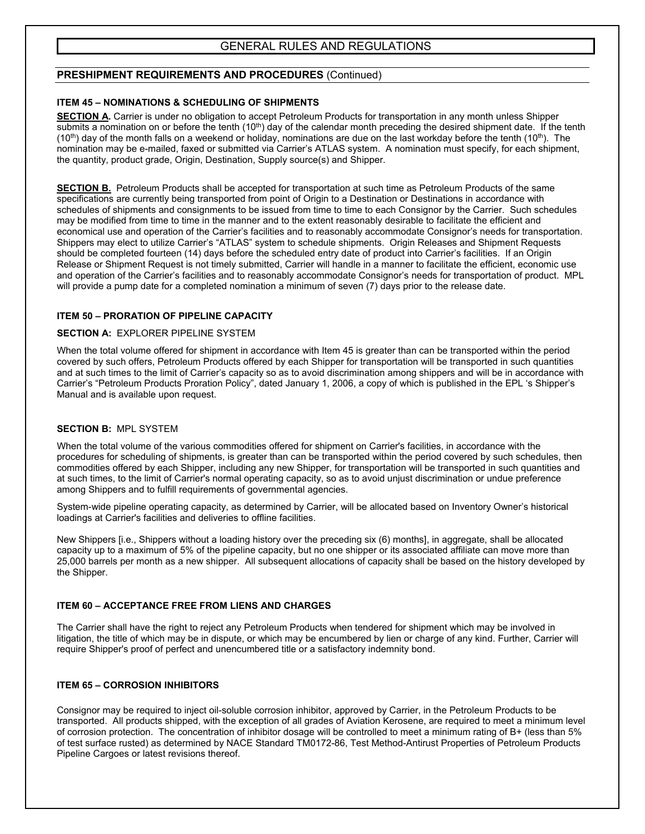## **PRESHIPMENT REQUIREMENTS AND PROCEDURES** (Continued)

## **ITEM 45 – NOMINATIONS & SCHEDULING OF SHIPMENTS**

**SECTION A.** Carrier is under no obligation to accept Petroleum Products for transportation in any month unless Shipper submits a nomination on or before the tenth  $(10<sup>th</sup>)$  day of the calendar month preceding the desired shipment date. If the tenth  $(10<sup>th</sup>)$  day of the month falls on a weekend or holiday, nominations are due on the last workday before the tenth  $(10<sup>th</sup>)$ . The nomination may be e-mailed, faxed or submitted via Carrier's ATLAS system. A nomination must specify, for each shipment, the quantity, product grade, Origin, Destination, Supply source(s) and Shipper.

**SECTION B.** Petroleum Products shall be accepted for transportation at such time as Petroleum Products of the same specifications are currently being transported from point of Origin to a Destination or Destinations in accordance with schedules of shipments and consignments to be issued from time to time to each Consignor by the Carrier. Such schedules may be modified from time to time in the manner and to the extent reasonably desirable to facilitate the efficient and economical use and operation of the Carrier's facilities and to reasonably accommodate Consignor's needs for transportation. Shippers may elect to utilize Carrier's "ATLAS" system to schedule shipments. Origin Releases and Shipment Requests should be completed fourteen (14) days before the scheduled entry date of product into Carrier's facilities. If an Origin Release or Shipment Request is not timely submitted, Carrier will handle in a manner to facilitate the efficient, economic use and operation of the Carrier's facilities and to reasonably accommodate Consignor's needs for transportation of product. MPL will provide a pump date for a completed nomination a minimum of seven (7) days prior to the release date.

## **ITEM 50 – PRORATION OF PIPELINE CAPACITY**

## **SECTION A:** EXPLORER PIPELINE SYSTEM

When the total volume offered for shipment in accordance with Item 45 is greater than can be transported within the period covered by such offers, Petroleum Products offered by each Shipper for transportation will be transported in such quantities and at such times to the limit of Carrier's capacity so as to avoid discrimination among shippers and will be in accordance with Carrier's "Petroleum Products Proration Policy", dated January 1, 2006, a copy of which is published in the EPL 's Shipper's Manual and is available upon request.

## **SECTION B:** MPL SYSTEM

When the total volume of the various commodities offered for shipment on Carrier's facilities, in accordance with the procedures for scheduling of shipments, is greater than can be transported within the period covered by such schedules, then commodities offered by each Shipper, including any new Shipper, for transportation will be transported in such quantities and at such times, to the limit of Carrier's normal operating capacity, so as to avoid unjust discrimination or undue preference among Shippers and to fulfill requirements of governmental agencies.

System-wide pipeline operating capacity, as determined by Carrier, will be allocated based on Inventory Owner's historical loadings at Carrier's facilities and deliveries to offline facilities.

New Shippers [i.e., Shippers without a loading history over the preceding six (6) months], in aggregate, shall be allocated capacity up to a maximum of 5% of the pipeline capacity, but no one shipper or its associated affiliate can move more than 25,000 barrels per month as a new shipper. All subsequent allocations of capacity shall be based on the history developed by the Shipper.

## **ITEM 60 – ACCEPTANCE FREE FROM LIENS AND CHARGES**

The Carrier shall have the right to reject any Petroleum Products when tendered for shipment which may be involved in litigation, the title of which may be in dispute, or which may be encumbered by lien or charge of any kind. Further, Carrier will require Shipper's proof of perfect and unencumbered title or a satisfactory indemnity bond.

## **ITEM 65 – CORROSION INHIBITORS**

Consignor may be required to inject oil-soluble corrosion inhibitor, approved by Carrier, in the Petroleum Products to be transported. All products shipped, with the exception of all grades of Aviation Kerosene, are required to meet a minimum level of corrosion protection. The concentration of inhibitor dosage will be controlled to meet a minimum rating of B+ (less than 5% of test surface rusted) as determined by NACE Standard TM0172-86, Test Method-Antirust Properties of Petroleum Products Pipeline Cargoes or latest revisions thereof.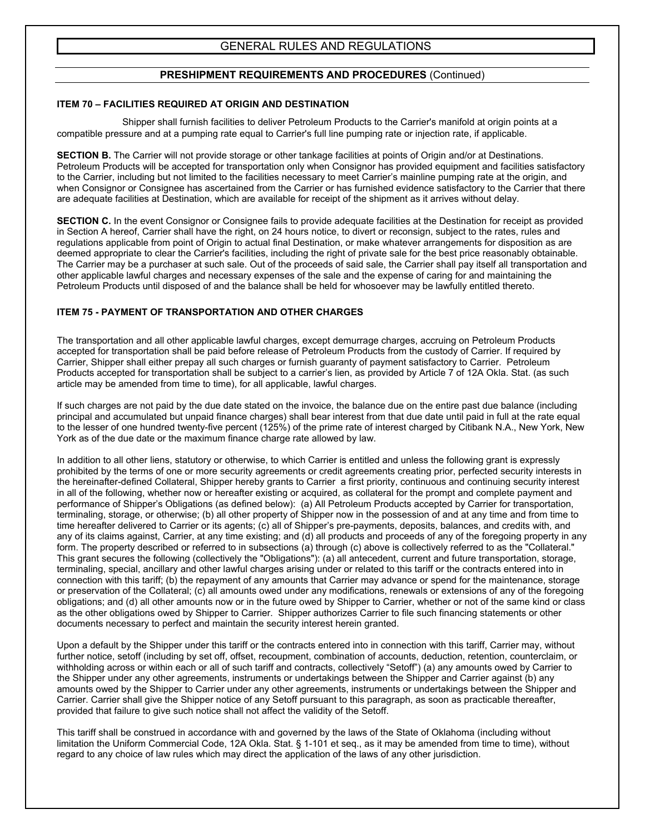## **PRESHIPMENT REQUIREMENTS AND PROCEDURES** (Continued)

## **ITEM 70 – FACILITIES REQUIRED AT ORIGIN AND DESTINATION**

Shipper shall furnish facilities to deliver Petroleum Products to the Carrier's manifold at origin points at a compatible pressure and at a pumping rate equal to Carrier's full line pumping rate or injection rate, if applicable.

**SECTION B.** The Carrier will not provide storage or other tankage facilities at points of Origin and/or at Destinations. Petroleum Products will be accepted for transportation only when Consignor has provided equipment and facilities satisfactory to the Carrier, including but not limited to the facilities necessary to meet Carrier's mainline pumping rate at the origin, and when Consignor or Consignee has ascertained from the Carrier or has furnished evidence satisfactory to the Carrier that there are adequate facilities at Destination, which are available for receipt of the shipment as it arrives without delay.

**SECTION C.** In the event Consignor or Consignee fails to provide adequate facilities at the Destination for receipt as provided in Section A hereof, Carrier shall have the right, on 24 hours notice, to divert or reconsign, subject to the rates, rules and regulations applicable from point of Origin to actual final Destination, or make whatever arrangements for disposition as are deemed appropriate to clear the Carrier's facilities, including the right of private sale for the best price reasonably obtainable. The Carrier may be a purchaser at such sale. Out of the proceeds of said sale, the Carrier shall pay itself all transportation and other applicable lawful charges and necessary expenses of the sale and the expense of caring for and maintaining the Petroleum Products until disposed of and the balance shall be held for whosoever may be lawfully entitled thereto.

## **ITEM 75 - PAYMENT OF TRANSPORTATION AND OTHER CHARGES**

The transportation and all other applicable lawful charges, except demurrage charges, accruing on Petroleum Products accepted for transportation shall be paid before release of Petroleum Products from the custody of Carrier. If required by Carrier, Shipper shall either prepay all such charges or furnish guaranty of payment satisfactory to Carrier. Petroleum Products accepted for transportation shall be subject to a carrier's lien, as provided by Article 7 of 12A Okla. Stat. (as such article may be amended from time to time), for all applicable, lawful charges.

If such charges are not paid by the due date stated on the invoice, the balance due on the entire past due balance (including principal and accumulated but unpaid finance charges) shall bear interest from that due date until paid in full at the rate equal to the lesser of one hundred twenty-five percent (125%) of the prime rate of interest charged by Citibank N.A., New York, New York as of the due date or the maximum finance charge rate allowed by law.

In addition to all other liens, statutory or otherwise, to which Carrier is entitled and unless the following grant is expressly prohibited by the terms of one or more security agreements or credit agreements creating prior, perfected security interests in the hereinafter-defined Collateral, Shipper hereby grants to Carrier a first priority, continuous and continuing security interest in all of the following, whether now or hereafter existing or acquired, as collateral for the prompt and complete payment and performance of Shipper's Obligations (as defined below): (a) All Petroleum Products accepted by Carrier for transportation, terminaling, storage, or otherwise; (b) all other property of Shipper now in the possession of and at any time and from time to time hereafter delivered to Carrier or its agents; (c) all of Shipper's pre-payments, deposits, balances, and credits with, and any of its claims against, Carrier, at any time existing; and (d) all products and proceeds of any of the foregoing property in any form. The property described or referred to in subsections (a) through (c) above is collectively referred to as the "Collateral." This grant secures the following (collectively the "Obligations"): (a) all antecedent, current and future transportation, storage, terminaling, special, ancillary and other lawful charges arising under or related to this tariff or the contracts entered into in connection with this tariff; (b) the repayment of any amounts that Carrier may advance or spend for the maintenance, storage or preservation of the Collateral; (c) all amounts owed under any modifications, renewals or extensions of any of the foregoing obligations; and (d) all other amounts now or in the future owed by Shipper to Carrier, whether or not of the same kind or class as the other obligations owed by Shipper to Carrier. Shipper authorizes Carrier to file such financing statements or other documents necessary to perfect and maintain the security interest herein granted.

Upon a default by the Shipper under this tariff or the contracts entered into in connection with this tariff, Carrier may, without further notice, setoff (including by set off, offset, recoupment, combination of accounts, deduction, retention, counterclaim, or withholding across or within each or all of such tariff and contracts, collectively "Setoff") (a) any amounts owed by Carrier to the Shipper under any other agreements, instruments or undertakings between the Shipper and Carrier against (b) any amounts owed by the Shipper to Carrier under any other agreements, instruments or undertakings between the Shipper and Carrier. Carrier shall give the Shipper notice of any Setoff pursuant to this paragraph, as soon as practicable thereafter, provided that failure to give such notice shall not affect the validity of the Setoff.

This tariff shall be construed in accordance with and governed by the laws of the State of Oklahoma (including without limitation the Uniform Commercial Code, 12A Okla. Stat. § 1-101 et seq., as it may be amended from time to time), without regard to any choice of law rules which may direct the application of the laws of any other jurisdiction.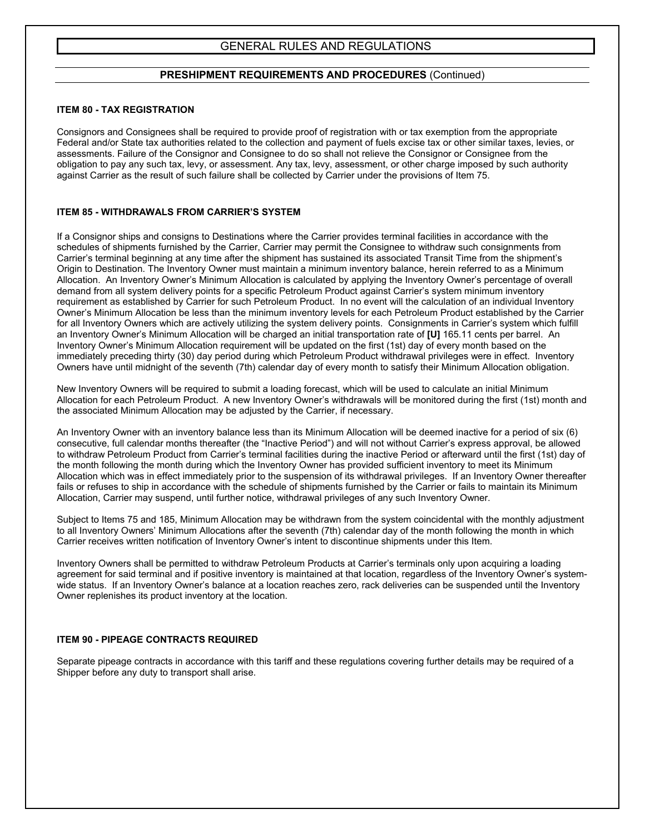## **PRESHIPMENT REQUIREMENTS AND PROCEDURES** (Continued)

#### **ITEM 80 - TAX REGISTRATION**

Consignors and Consignees shall be required to provide proof of registration with or tax exemption from the appropriate Federal and/or State tax authorities related to the collection and payment of fuels excise tax or other similar taxes, levies, or assessments. Failure of the Consignor and Consignee to do so shall not relieve the Consignor or Consignee from the obligation to pay any such tax, levy, or assessment. Any tax, levy, assessment, or other charge imposed by such authority against Carrier as the result of such failure shall be collected by Carrier under the provisions of Item 75.

## **ITEM 85 - WITHDRAWALS FROM CARRIER'S SYSTEM**

If a Consignor ships and consigns to Destinations where the Carrier provides terminal facilities in accordance with the schedules of shipments furnished by the Carrier, Carrier may permit the Consignee to withdraw such consignments from Carrier's terminal beginning at any time after the shipment has sustained its associated Transit Time from the shipment's Origin to Destination. The Inventory Owner must maintain a minimum inventory balance, herein referred to as a Minimum Allocation. An Inventory Owner's Minimum Allocation is calculated by applying the Inventory Owner's percentage of overall demand from all system delivery points for a specific Petroleum Product against Carrier's system minimum inventory requirement as established by Carrier for such Petroleum Product. In no event will the calculation of an individual Inventory Owner's Minimum Allocation be less than the minimum inventory levels for each Petroleum Product established by the Carrier for all Inventory Owners which are actively utilizing the system delivery points. Consignments in Carrier's system which fulfill an Inventory Owner's Minimum Allocation will be charged an initial transportation rate of **[U]** 165.11 cents per barrel. An Inventory Owner's Minimum Allocation requirement will be updated on the first (1st) day of every month based on the immediately preceding thirty (30) day period during which Petroleum Product withdrawal privileges were in effect. Inventory Owners have until midnight of the seventh (7th) calendar day of every month to satisfy their Minimum Allocation obligation.

New Inventory Owners will be required to submit a loading forecast, which will be used to calculate an initial Minimum Allocation for each Petroleum Product. A new Inventory Owner's withdrawals will be monitored during the first (1st) month and the associated Minimum Allocation may be adjusted by the Carrier, if necessary.

An Inventory Owner with an inventory balance less than its Minimum Allocation will be deemed inactive for a period of six (6) consecutive, full calendar months thereafter (the "Inactive Period") and will not without Carrier's express approval, be allowed to withdraw Petroleum Product from Carrier's terminal facilities during the inactive Period or afterward until the first (1st) day of the month following the month during which the Inventory Owner has provided sufficient inventory to meet its Minimum Allocation which was in effect immediately prior to the suspension of its withdrawal privileges. If an Inventory Owner thereafter fails or refuses to ship in accordance with the schedule of shipments furnished by the Carrier or fails to maintain its Minimum Allocation, Carrier may suspend, until further notice, withdrawal privileges of any such Inventory Owner.

Subject to Items 75 and 185, Minimum Allocation may be withdrawn from the system coincidental with the monthly adjustment to all Inventory Owners' Minimum Allocations after the seventh (7th) calendar day of the month following the month in which Carrier receives written notification of Inventory Owner's intent to discontinue shipments under this Item.

Inventory Owners shall be permitted to withdraw Petroleum Products at Carrier's terminals only upon acquiring a loading agreement for said terminal and if positive inventory is maintained at that location, regardless of the Inventory Owner's systemwide status. If an Inventory Owner's balance at a location reaches zero, rack deliveries can be suspended until the Inventory Owner replenishes its product inventory at the location.

## **ITEM 90 - PIPEAGE CONTRACTS REQUIRED**

Separate pipeage contracts in accordance with this tariff and these regulations covering further details may be required of a Shipper before any duty to transport shall arise.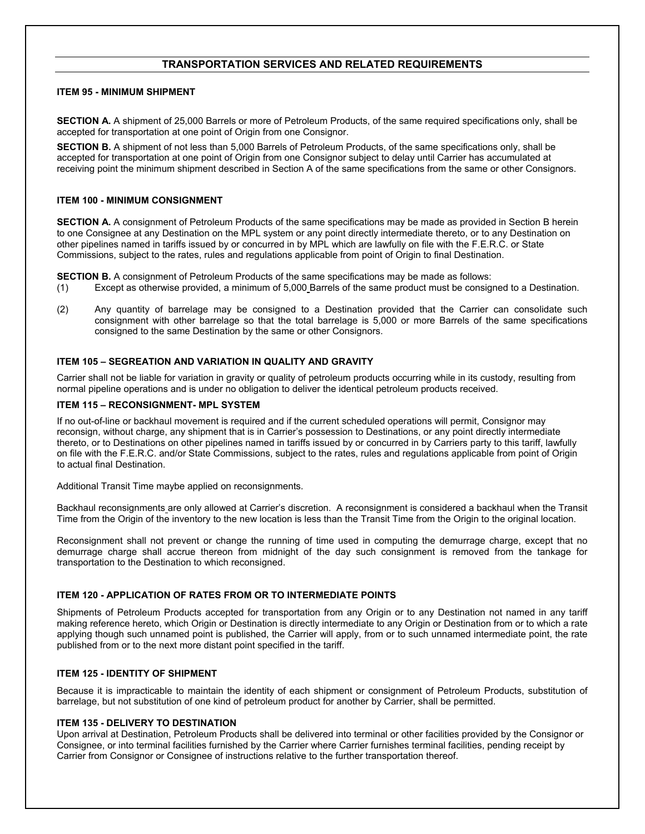## **TRANSPORTATION SERVICES AND RELATED REQUIREMENTS**

#### **ITEM 95 - MINIMUM SHIPMENT**

**SECTION A.** A shipment of 25,000 Barrels or more of Petroleum Products, of the same required specifications only, shall be accepted for transportation at one point of Origin from one Consignor.

**SECTION B.** A shipment of not less than 5,000 Barrels of Petroleum Products, of the same specifications only, shall be accepted for transportation at one point of Origin from one Consignor subject to delay until Carrier has accumulated at receiving point the minimum shipment described in Section A of the same specifications from the same or other Consignors.

#### **ITEM 100 - MINIMUM CONSIGNMENT**

**SECTION A.** A consignment of Petroleum Products of the same specifications may be made as provided in Section B herein to one Consignee at any Destination on the MPL system or any point directly intermediate thereto, or to any Destination on other pipelines named in tariffs issued by or concurred in by MPL which are lawfully on file with the F.E.R.C. or State Commissions, subject to the rates, rules and regulations applicable from point of Origin to final Destination.

**SECTION B.** A consignment of Petroleum Products of the same specifications may be made as follows:

- (1) Except as otherwise provided, a minimum of 5,000 Barrels of the same product must be consigned to a Destination.
- (2) Any quantity of barrelage may be consigned to a Destination provided that the Carrier can consolidate such consignment with other barrelage so that the total barrelage is 5,000 or more Barrels of the same specifications consigned to the same Destination by the same or other Consignors.

## **ITEM 105 – SEGREATION AND VARIATION IN QUALITY AND GRAVITY**

Carrier shall not be liable for variation in gravity or quality of petroleum products occurring while in its custody, resulting from normal pipeline operations and is under no obligation to deliver the identical petroleum products received.

#### **ITEM 115 – RECONSIGNMENT- MPL SYSTEM**

If no out-of-line or backhaul movement is required and if the current scheduled operations will permit, Consignor may reconsign, without charge, any shipment that is in Carrier's possession to Destinations, or any point directly intermediate thereto, or to Destinations on other pipelines named in tariffs issued by or concurred in by Carriers party to this tariff, lawfully on file with the F.E.R.C. and/or State Commissions, subject to the rates, rules and regulations applicable from point of Origin to actual final Destination.

Additional Transit Time maybe applied on reconsignments.

Backhaul reconsignments are only allowed at Carrier's discretion. A reconsignment is considered a backhaul when the Transit Time from the Origin of the inventory to the new location is less than the Transit Time from the Origin to the original location.

Reconsignment shall not prevent or change the running of time used in computing the demurrage charge, except that no demurrage charge shall accrue thereon from midnight of the day such consignment is removed from the tankage for transportation to the Destination to which reconsigned.

## **ITEM 120 - APPLICATION OF RATES FROM OR TO INTERMEDIATE POINTS**

Shipments of Petroleum Products accepted for transportation from any Origin or to any Destination not named in any tariff making reference hereto, which Origin or Destination is directly intermediate to any Origin or Destination from or to which a rate applying though such unnamed point is published, the Carrier will apply, from or to such unnamed intermediate point, the rate published from or to the next more distant point specified in the tariff.

## **ITEM 125 - IDENTITY OF SHIPMENT**

Because it is impracticable to maintain the identity of each shipment or consignment of Petroleum Products, substitution of barrelage, but not substitution of one kind of petroleum product for another by Carrier, shall be permitted.

## **ITEM 135 - DELIVERY TO DESTINATION**

Upon arrival at Destination, Petroleum Products shall be delivered into terminal or other facilities provided by the Consignor or Consignee, or into terminal facilities furnished by the Carrier where Carrier furnishes terminal facilities, pending receipt by Carrier from Consignor or Consignee of instructions relative to the further transportation thereof.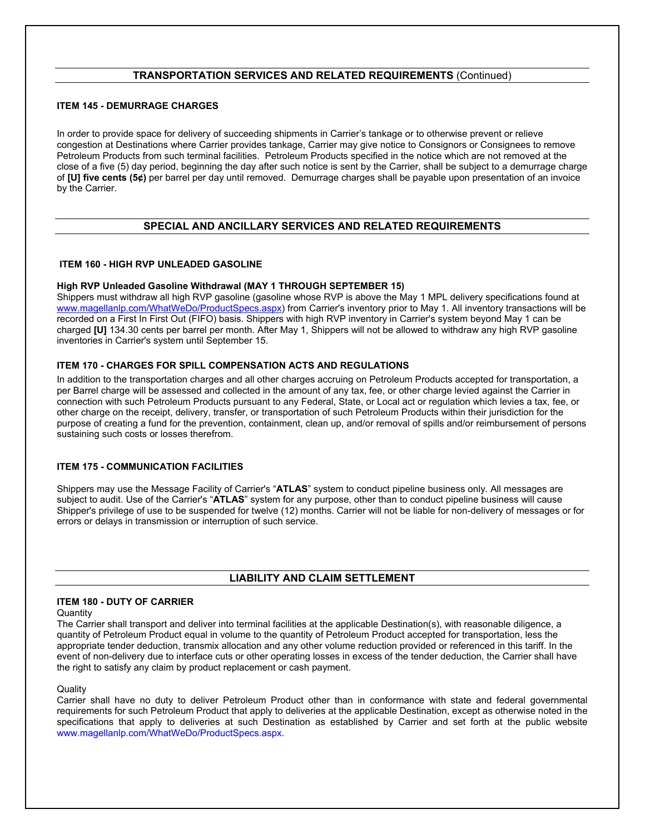## **TRANSPORTATION SERVICES AND RELATED REQUIREMENTS** (Continued)

## **ITEM 145 - DEMURRAGE CHARGES**

In order to provide space for delivery of succeeding shipments in Carrier's tankage or to otherwise prevent or relieve congestion at Destinations where Carrier provides tankage, Carrier may give notice to Consignors or Consignees to remove Petroleum Products from such terminal facilities. Petroleum Products specified in the notice which are not removed at the close of a five (5) day period, beginning the day after such notice is sent by the Carrier, shall be subject to a demurrage charge of **[U] five cents (5¢)** per barrel per day until removed. Demurrage charges shall be payable upon presentation of an invoice by the Carrier.

## **SPECIAL AND ANCILLARY SERVICES AND RELATED REQUIREMENTS**

## **ITEM 160 - HIGH RVP UNLEADED GASOLINE**

## **High RVP Unleaded Gasoline Withdrawal (MAY 1 THROUGH SEPTEMBER 15)**

Shippers must withdraw all high RVP gasoline (gasoline whose RVP is above the May 1 MPL delivery specifications found at www.magellanlp.com/WhatWeDo/ProductSpecs.aspx) from Carrier's inventory prior to May 1. All inventory transactions will be recorded on a First In First Out (FIFO) basis. Shippers with high RVP inventory in Carrier's system beyond May 1 can be charged **[U]** 134.30 cents per barrel per month. After May 1, Shippers will not be allowed to withdraw any high RVP gasoline inventories in Carrier's system until September 15.

## **ITEM 170 - CHARGES FOR SPILL COMPENSATION ACTS AND REGULATIONS**

In addition to the transportation charges and all other charges accruing on Petroleum Products accepted for transportation, a per Barrel charge will be assessed and collected in the amount of any tax, fee, or other charge levied against the Carrier in connection with such Petroleum Products pursuant to any Federal, State, or Local act or regulation which levies a tax, fee, or other charge on the receipt, delivery, transfer, or transportation of such Petroleum Products within their jurisdiction for the purpose of creating a fund for the prevention, containment, clean up, and/or removal of spills and/or reimbursement of persons sustaining such costs or losses therefrom.

## **ITEM 175 - COMMUNICATION FACILITIES**

Shippers may use the Message Facility of Carrier's "**ATLAS**" system to conduct pipeline business only. All messages are subject to audit. Use of the Carrier's "**ATLAS**" system for any purpose, other than to conduct pipeline business will cause Shipper's privilege of use to be suspended for twelve (12) months. Carrier will not be liable for non-delivery of messages or for errors or delays in transmission or interruption of such service.

## **LIABILITY AND CLAIM SETTLEMENT**

## **ITEM 180 - DUTY OF CARRIER**

**Quantity** 

The Carrier shall transport and deliver into terminal facilities at the applicable Destination(s), with reasonable diligence, a quantity of Petroleum Product equal in volume to the quantity of Petroleum Product accepted for transportation, less the appropriate tender deduction, transmix allocation and any other volume reduction provided or referenced in this tariff. In the event of non-delivery due to interface cuts or other operating losses in excess of the tender deduction, the Carrier shall have the right to satisfy any claim by product replacement or cash payment.

## **Quality**

Carrier shall have no duty to deliver Petroleum Product other than in conformance with state and federal governmental requirements for such Petroleum Product that apply to deliveries at the applicable Destination, except as otherwise noted in the specifications that apply to deliveries at such Destination as established by Carrier and set forth at the public website www.magellanlp.com/WhatWeDo/ProductSpecs.aspx.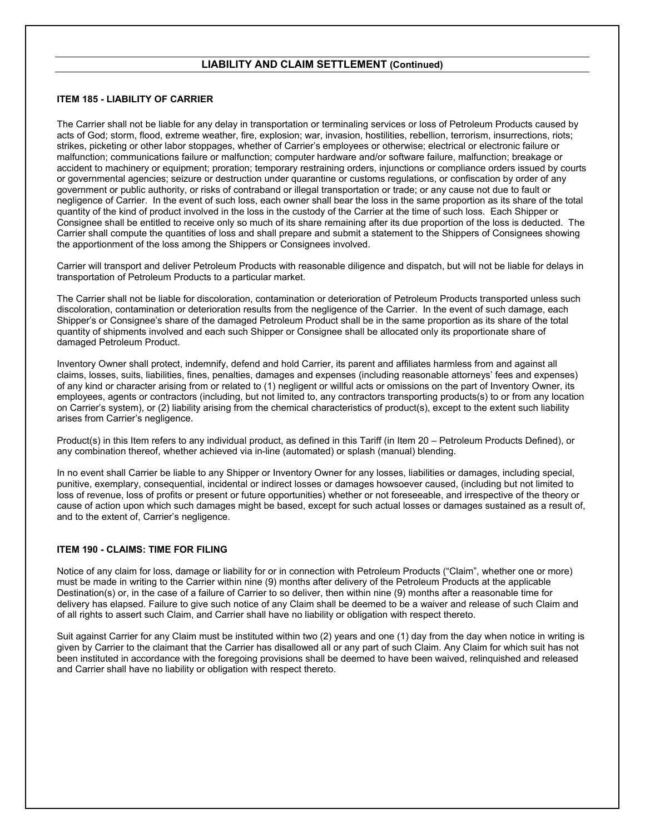## **LIABILITY AND CLAIM SETTLEMENT (Continued)**

## **ITEM 185 - LIABILITY OF CARRIER**

The Carrier shall not be liable for any delay in transportation or terminaling services or loss of Petroleum Products caused by acts of God; storm, flood, extreme weather, fire, explosion; war, invasion, hostilities, rebellion, terrorism, insurrections, riots; strikes, picketing or other labor stoppages, whether of Carrier's employees or otherwise; electrical or electronic failure or malfunction; communications failure or malfunction; computer hardware and/or software failure, malfunction; breakage or accident to machinery or equipment; proration; temporary restraining orders, injunctions or compliance orders issued by courts or governmental agencies; seizure or destruction under quarantine or customs regulations, or confiscation by order of any government or public authority, or risks of contraband or illegal transportation or trade; or any cause not due to fault or negligence of Carrier. In the event of such loss, each owner shall bear the loss in the same proportion as its share of the total quantity of the kind of product involved in the loss in the custody of the Carrier at the time of such loss. Each Shipper or Consignee shall be entitled to receive only so much of its share remaining after its due proportion of the loss is deducted. The Carrier shall compute the quantities of loss and shall prepare and submit a statement to the Shippers of Consignees showing the apportionment of the loss among the Shippers or Consignees involved.

Carrier will transport and deliver Petroleum Products with reasonable diligence and dispatch, but will not be liable for delays in transportation of Petroleum Products to a particular market.

The Carrier shall not be liable for discoloration, contamination or deterioration of Petroleum Products transported unless such discoloration, contamination or deterioration results from the negligence of the Carrier. In the event of such damage, each Shipper's or Consignee's share of the damaged Petroleum Product shall be in the same proportion as its share of the total quantity of shipments involved and each such Shipper or Consignee shall be allocated only its proportionate share of damaged Petroleum Product.

Inventory Owner shall protect, indemnify, defend and hold Carrier, its parent and affiliates harmless from and against all claims, losses, suits, liabilities, fines, penalties, damages and expenses (including reasonable attorneys' fees and expenses) of any kind or character arising from or related to (1) negligent or willful acts or omissions on the part of Inventory Owner, its employees, agents or contractors (including, but not limited to, any contractors transporting products(s) to or from any location on Carrier's system), or (2) liability arising from the chemical characteristics of product(s), except to the extent such liability arises from Carrier's negligence.

Product(s) in this Item refers to any individual product, as defined in this Tariff (in Item 20 – Petroleum Products Defined), or any combination thereof, whether achieved via in-line (automated) or splash (manual) blending.

In no event shall Carrier be liable to any Shipper or Inventory Owner for any losses, liabilities or damages, including special, punitive, exemplary, consequential, incidental or indirect losses or damages howsoever caused, (including but not limited to loss of revenue, loss of profits or present or future opportunities) whether or not foreseeable, and irrespective of the theory or cause of action upon which such damages might be based, except for such actual losses or damages sustained as a result of, and to the extent of, Carrier's negligence.

## **ITEM 190 - CLAIMS: TIME FOR FILING**

Notice of any claim for loss, damage or liability for or in connection with Petroleum Products ("Claim", whether one or more) must be made in writing to the Carrier within nine (9) months after delivery of the Petroleum Products at the applicable Destination(s) or, in the case of a failure of Carrier to so deliver, then within nine (9) months after a reasonable time for delivery has elapsed. Failure to give such notice of any Claim shall be deemed to be a waiver and release of such Claim and of all rights to assert such Claim, and Carrier shall have no liability or obligation with respect thereto.

Suit against Carrier for any Claim must be instituted within two (2) years and one (1) day from the day when notice in writing is given by Carrier to the claimant that the Carrier has disallowed all or any part of such Claim. Any Claim for which suit has not been instituted in accordance with the foregoing provisions shall be deemed to have been waived, relinquished and released and Carrier shall have no liability or obligation with respect thereto.